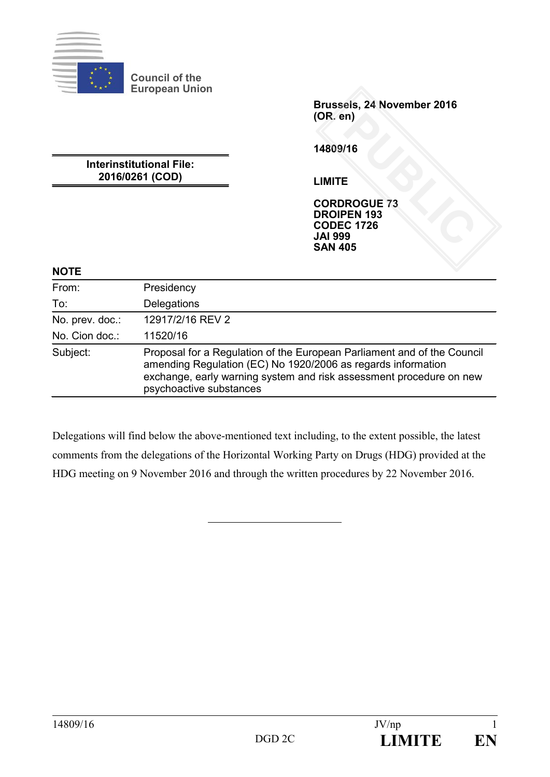

**Council of the European Union**

> **Brussels, 24 November 2016 (OR. en)**

**14809/16**

**Interinstitutional File: 2016/0261 (COD)**

**LIMITE**

**CORDROGUE 73 DROIPEN 193 CODEC 1726 JAI 999 SAN 405** PUBLIC<br>
PUBLIC<br>
PUBLIC<br>
PUBLIC<br>
PUBLIC<br>
PUBLIC<br>
PUBLIC<br>
PUBLIC<br>
PUBLIC

#### **NOTE**

| From:           | Presidency                                                                                                                                                                                                                                |
|-----------------|-------------------------------------------------------------------------------------------------------------------------------------------------------------------------------------------------------------------------------------------|
| To:             | Delegations                                                                                                                                                                                                                               |
| No. prev. doc.: | 12917/2/16 REV 2                                                                                                                                                                                                                          |
| No. Cion doc.:  | 11520/16                                                                                                                                                                                                                                  |
| Subject:        | Proposal for a Regulation of the European Parliament and of the Council<br>amending Regulation (EC) No 1920/2006 as regards information<br>exchange, early warning system and risk assessment procedure on new<br>psychoactive substances |

Delegations will find below the above-mentioned text including, to the extent possible, the latest comments from the delegations of the Horizontal Working Party on Drugs (HDG) provided at the HDG meeting on 9 November 2016 and through the written procedures by 22 November 2016.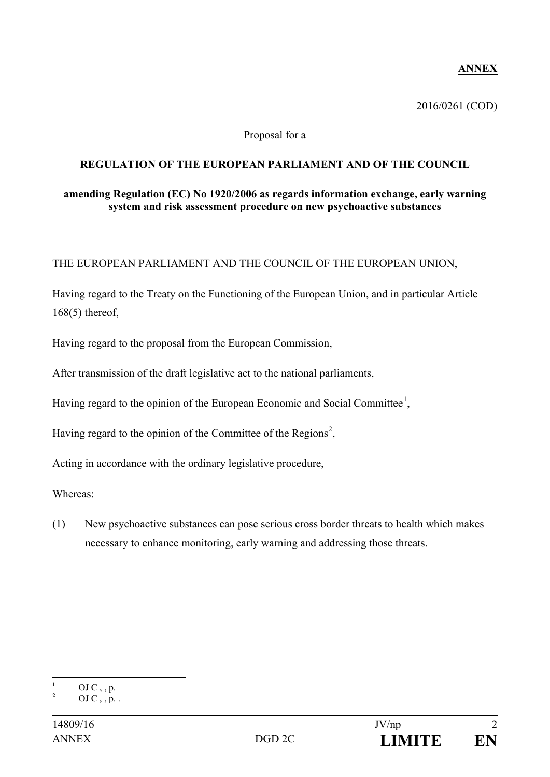# **ANNEX**

2016/0261 (COD)

#### Proposal for a

#### **REGULATION OF THE EUROPEAN PARLIAMENT AND OF THE COUNCIL**

#### **amending Regulation (EC) No 1920/2006 as regards information exchange, early warning system and risk assessment procedure on new psychoactive substances**

THE EUROPEAN PARLIAMENT AND THE COUNCIL OF THE EUROPEAN UNION,

Having regard to the Treaty on the Functioning of the European Union, and in particular Article 168(5) thereof,

Having regard to the proposal from the European Commission,

After transmission of the draft legislative act to the national parliaments,

Having regard to the opinion of the European Economic and Social Committee<sup>[1](#page-1-0)</sup>,

Having regard to the opinion of the Committee of the Regions<sup>[2](#page-1-1)</sup>,

Acting in accordance with the ordinary legislative procedure,

Whereas:

(1) New psychoactive substances can pose serious cross border threats to health which makes necessary to enhance monitoring, early warning and addressing those threats.

<span id="page-1-0"></span>**<sup>1</sup>** OJ C , , p.<br>2 OJ C , , p. .

<span id="page-1-1"></span>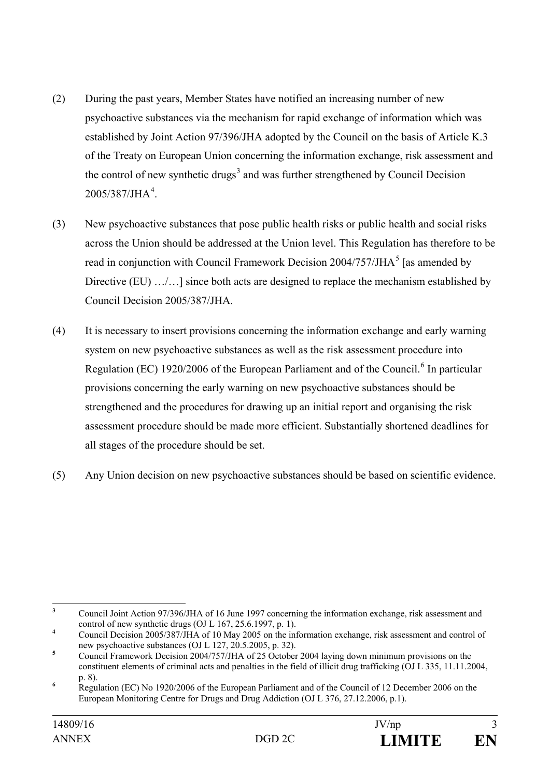- (2) During the past years, Member States have notified an increasing number of new psychoactive substances via the mechanism for rapid exchange of information which was established by Joint Action 97/396/JHA adopted by the Council on the basis of Article K.3 of the Treaty on European Union concerning the information exchange, risk assessment and the control of new synthetic drugs<sup>[3](#page-2-0)</sup> and was further strengthened by Council Decision  $2005/387/JHA<sup>4</sup>$  $2005/387/JHA<sup>4</sup>$  $2005/387/JHA<sup>4</sup>$ .
- (3) New psychoactive substances that pose public health risks or public health and social risks across the Union should be addressed at the Union level. This Regulation has therefore to be read in conjunction with Council Framework Decision  $2004/757/JHA<sup>5</sup>$  $2004/757/JHA<sup>5</sup>$  $2004/757/JHA<sup>5</sup>$  [as amended by Directive (EU) .../...] since both acts are designed to replace the mechanism established by Council Decision 2005/387/JHA.
- (4) It is necessary to insert provisions concerning the information exchange and early warning system on new psychoactive substances as well as the risk assessment procedure into Regulation (EC) 1920/200[6](#page-2-3) of the European Parliament and of the Council.<sup>6</sup> In particular provisions concerning the early warning on new psychoactive substances should be strengthened and the procedures for drawing up an initial report and organising the risk assessment procedure should be made more efficient. Substantially shortened deadlines for all stages of the procedure should be set.
- (5) Any Union decision on new psychoactive substances should be based on scientific evidence.

<span id="page-2-0"></span><sup>&</sup>lt;sup>3</sup> Council Joint Action 97/396/JHA of 16 June 1997 concerning the information exchange, risk assessment and control of new synthetic drugs (OJ L 167, 25.6.1997, p. 1).

<span id="page-2-1"></span>control of new synthetic drugs (OU L 167, 26.6.1997, p. 1).<br>Council Decision 2005/387/JHA of 10 May 2005 on the information exchange, risk assessment and control of new psychoactive substances (OJ L 127, 20.5.2005, p. 32).

<span id="page-2-2"></span><sup>&</sup>lt;sup>5</sup> Council Framework Decision 2004/757/JHA of 25 October 2004 laying down minimum provisions on the constituent elements of criminal acts and penalties in the field of illicit drug trafficking (OJ L 335, 11.11.2004,

<span id="page-2-3"></span>p. 8). **<sup>6</sup>** Regulation (EC) No 1920/2006 of the European Parliament and of the Council of 12 December 2006 on the European Monitoring Centre for Drugs and Drug Addiction (OJ L 376, 27.12.2006, p.1).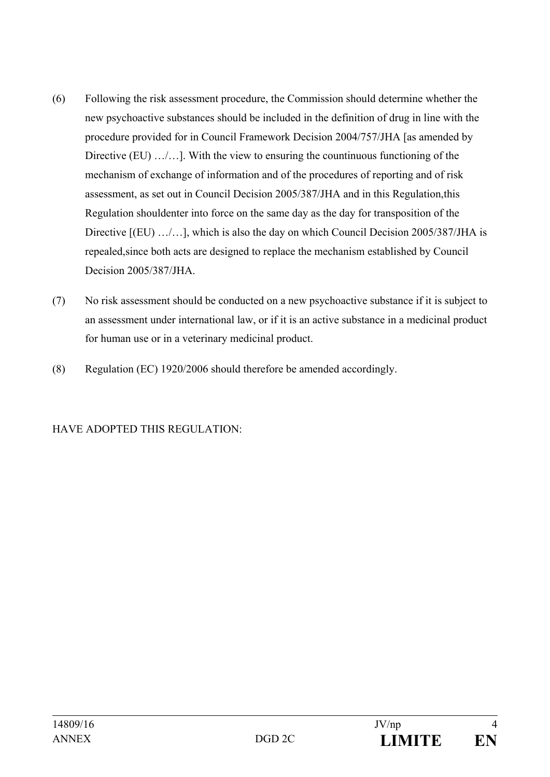- (6) Following the risk assessment procedure, the Commission should determine whether the new psychoactive substances should be included in the definition of drug in line with the procedure provided for in Council Framework Decision 2004/757/JHA [as amended by Directive (EU) .../...]. With the view to ensuring the countinuous functioning of the mechanism of exchange of information and of the procedures of reporting and of risk assessment, as set out in Council Decision 2005/387/JHA and in this Regulation,this Regulation shouldenter into force on the same day as the day for transposition of the Directive [(EU) .../...], which is also the day on which Council Decision 2005/387/JHA is repealed,since both acts are designed to replace the mechanism established by Council Decision 2005/387/JHA.
- (7) No risk assessment should be conducted on a new psychoactive substance if it is subject to an assessment under international law, or if it is an active substance in a medicinal product for human use or in a veterinary medicinal product.
- (8) Regulation (EC) 1920/2006 should therefore be amended accordingly.

## HAVE ADOPTED THIS REGULATION: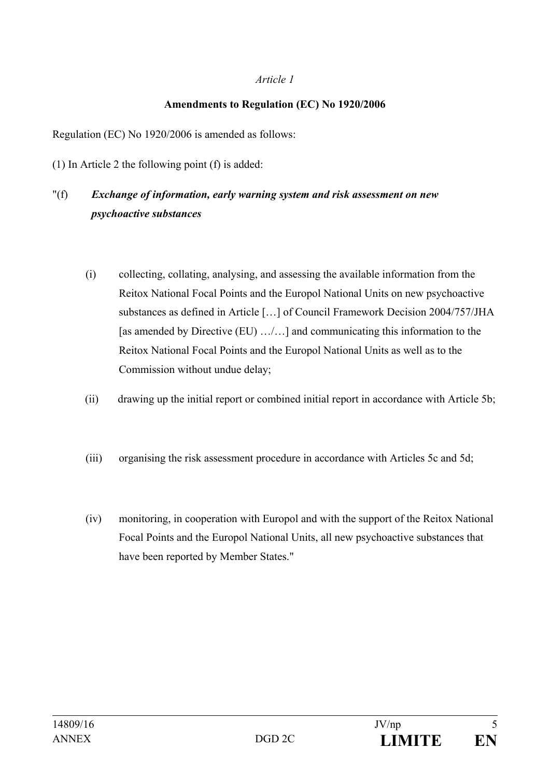#### *Article 1*

#### **Amendments to Regulation (EC) No 1920/2006**

Regulation (EC) No 1920/2006 is amended as follows:

(1) In Article 2 the following point (f) is added:

# "(f) *Exchange of information, early warning system and risk assessment on new psychoactive substances*

- (i) collecting, collating, analysing, and assessing the available information from the Reitox National Focal Points and the Europol National Units on new psychoactive substances as defined in Article […] of Council Framework Decision 2004/757/JHA [as amended by Directive (EU) …/…] and communicating this information to the Reitox National Focal Points and the Europol National Units as well as to the Commission without undue delay;
- (ii) drawing up the initial report or combined initial report in accordance with Article 5b;
- (iii) organising the risk assessment procedure in accordance with Articles 5c and 5d;
- (iv) monitoring, in cooperation with Europol and with the support of the Reitox National Focal Points and the Europol National Units, all new psychoactive substances that have been reported by Member States."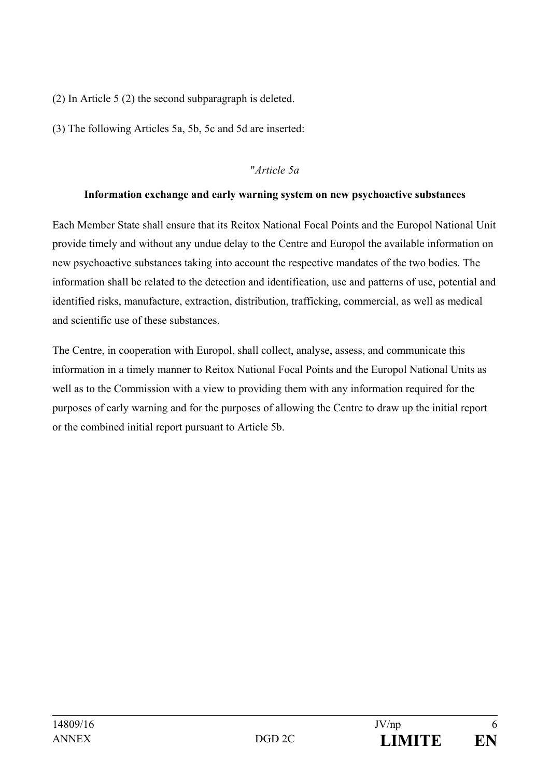(2) In Article 5 (2) the second subparagraph is deleted.

(3) The following Articles 5a, 5b, 5c and 5d are inserted:

## "*Article 5a*

## **Information exchange and early warning system on new psychoactive substances**

Each Member State shall ensure that its Reitox National Focal Points and the Europol National Unit provide timely and without any undue delay to the Centre and Europol the available information on new psychoactive substances taking into account the respective mandates of the two bodies. The information shall be related to the detection and identification, use and patterns of use, potential and identified risks, manufacture, extraction, distribution, trafficking, commercial, as well as medical and scientific use of these substances.

The Centre, in cooperation with Europol, shall collect, analyse, assess, and communicate this information in a timely manner to Reitox National Focal Points and the Europol National Units as well as to the Commission with a view to providing them with any information required for the purposes of early warning and for the purposes of allowing the Centre to draw up the initial report or the combined initial report pursuant to Article 5b.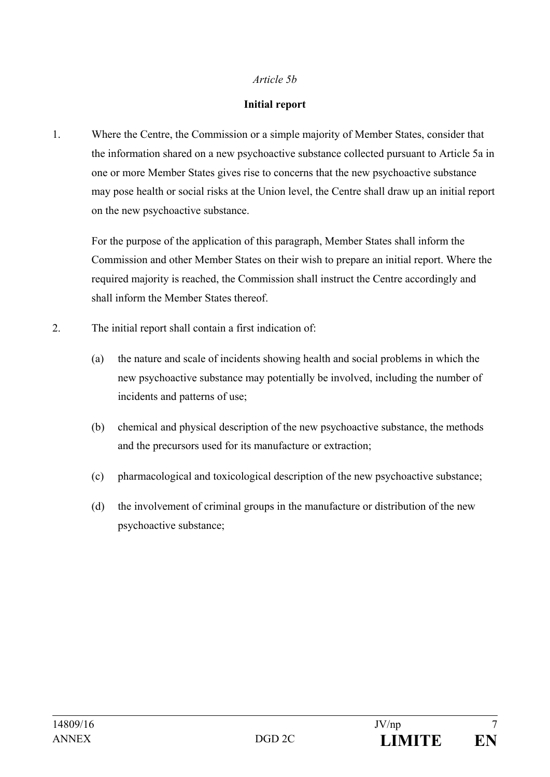#### *Article 5b*

#### **Initial report**

1. Where the Centre, the Commission or a simple majority of Member States, consider that the information shared on a new psychoactive substance collected pursuant to Article 5a in one or more Member States gives rise to concerns that the new psychoactive substance may pose health or social risks at the Union level, the Centre shall draw up an initial report on the new psychoactive substance.

For the purpose of the application of this paragraph, Member States shall inform the Commission and other Member States on their wish to prepare an initial report. Where the required majority is reached, the Commission shall instruct the Centre accordingly and shall inform the Member States thereof.

- 2. The initial report shall contain a first indication of:
	- (a) the nature and scale of incidents showing health and social problems in which the new psychoactive substance may potentially be involved, including the number of incidents and patterns of use;
	- (b) chemical and physical description of the new psychoactive substance, the methods and the precursors used for its manufacture or extraction;
	- (c) pharmacological and toxicological description of the new psychoactive substance;
	- (d) the involvement of criminal groups in the manufacture or distribution of the new psychoactive substance;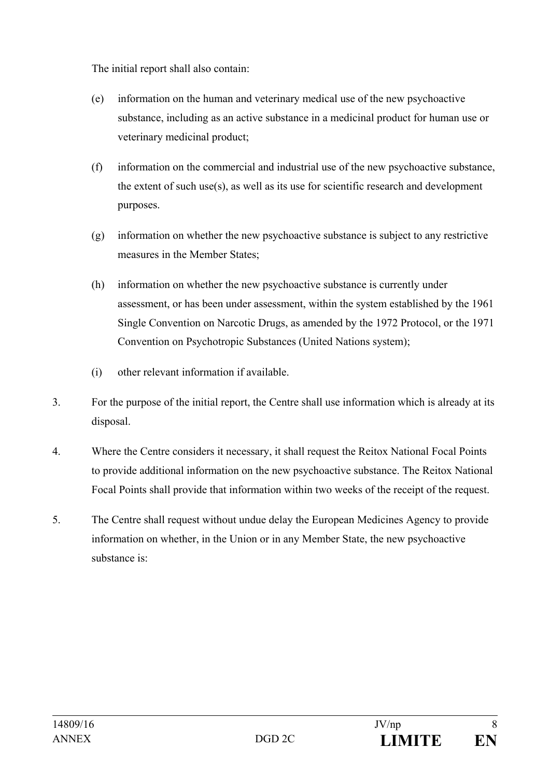The initial report shall also contain:

- (e) information on the human and veterinary medical use of the new psychoactive substance, including as an active substance in a medicinal product for human use or veterinary medicinal product;
- (f) information on the commercial and industrial use of the new psychoactive substance, the extent of such use(s), as well as its use for scientific research and development purposes.
- (g) information on whether the new psychoactive substance is subject to any restrictive measures in the Member States;
- (h) information on whether the new psychoactive substance is currently under assessment, or has been under assessment, within the system established by the 1961 Single Convention on Narcotic Drugs, as amended by the 1972 Protocol, or the 1971 Convention on Psychotropic Substances (United Nations system);
- (i) other relevant information if available.
- 3. For the purpose of the initial report, the Centre shall use information which is already at its disposal.
- 4. Where the Centre considers it necessary, it shall request the Reitox National Focal Points to provide additional information on the new psychoactive substance. The Reitox National Focal Points shall provide that information within two weeks of the receipt of the request.
- 5. The Centre shall request without undue delay the European Medicines Agency to provide information on whether, in the Union or in any Member State, the new psychoactive substance is: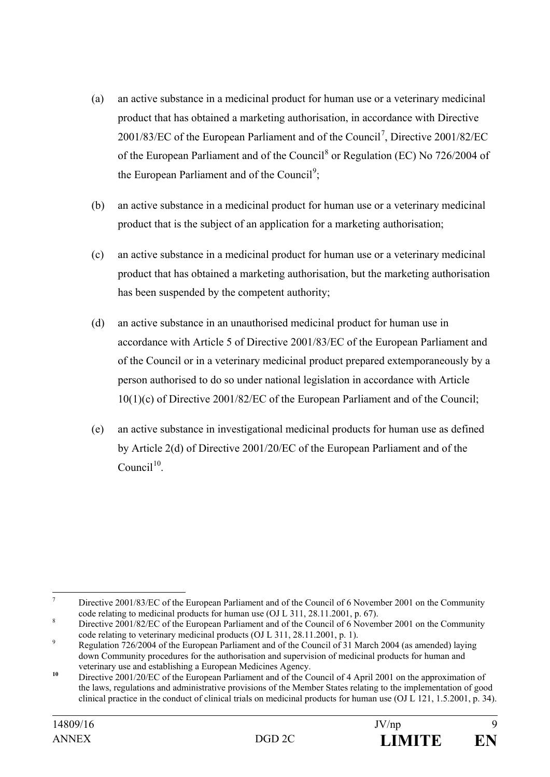- (a) an active substance in a medicinal product for human use or a veterinary medicinal product that has obtained a marketing authorisation, in accordance with Directive 2001/83/EC of the European Parliament and of the Council<sup>[7](#page-8-0)</sup>, Directive 2001/82/EC of the European Parliament and of the Council<sup>[8](#page-8-1)</sup> or Regulation (EC) No 726/2004 of the European Parliament and of the Council<sup>[9](#page-8-2)</sup>;
- (b) an active substance in a medicinal product for human use or a veterinary medicinal product that is the subject of an application for a marketing authorisation;
- (c) an active substance in a medicinal product for human use or a veterinary medicinal product that has obtained a marketing authorisation, but the marketing authorisation has been suspended by the competent authority;
- (d) an active substance in an unauthorised medicinal product for human use in accordance with Article 5 of Directive 2001/83/EC of the European Parliament and of the Council or in a veterinary medicinal product prepared extemporaneously by a person authorised to do so under national legislation in accordance with Article 10(1)(c) of Directive 2001/82/EC of the European Parliament and of the Council;
- (e) an active substance in investigational medicinal products for human use as defined by Article 2(d) of Directive 2001/20/EC of the European Parliament and of the  $Comceil<sup>10</sup>$  $Comceil<sup>10</sup>$  $Comceil<sup>10</sup>$

<span id="page-8-0"></span>T Directive 2001/83/EC of the European Parliament and of the Council of 6 November 2001 on the Community code relating to medicinal products for human use (OJ L 311, 28.11.2001, p. 67).

<span id="page-8-1"></span><sup>&</sup>lt;sup>8</sup> Directive 2001/82/EC of the European Parliament and of the Council of 6 November 2001 on the Community code relating to veterinary medicinal products (OJ L 311, 28.11.2001, p. 1).<br>
Pegulation 726/2004 of the European Parliament and of the Council of 31 March 2004 (as amended) laying

<span id="page-8-2"></span>down Community procedures for the authorisation and supervision of medicinal products for human and

<span id="page-8-3"></span>veterinary use and establishing a European Medicines Agency.<br><sup>10</sup> Directive 2001/20/EC of the European Parliament and of the Council of 4 April 2001 on the approximation of the laws, regulations and administrative provisions of the Member States relating to the implementation of good clinical practice in the conduct of clinical trials on medicinal products for human use (OJ L 121, 1.5.2001, p. 34).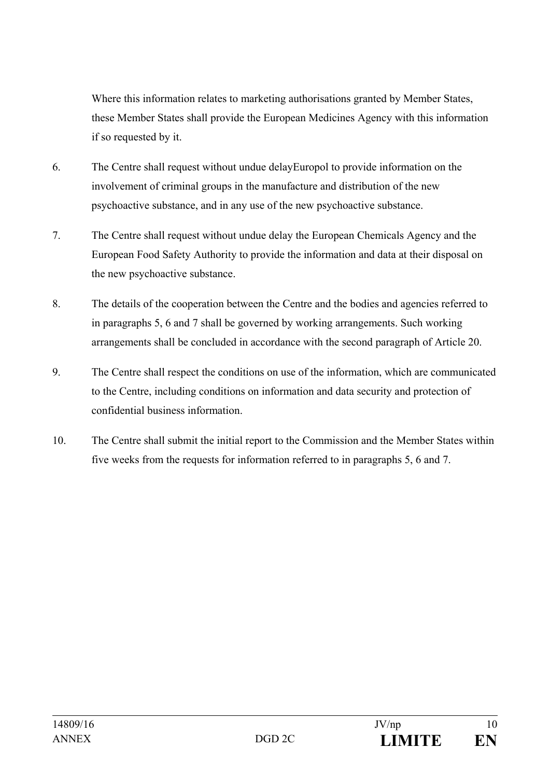Where this information relates to marketing authorisations granted by Member States, these Member States shall provide the European Medicines Agency with this information if so requested by it.

- 6. The Centre shall request without undue delayEuropol to provide information on the involvement of criminal groups in the manufacture and distribution of the new psychoactive substance, and in any use of the new psychoactive substance.
- 7. The Centre shall request without undue delay the European Chemicals Agency and the European Food Safety Authority to provide the information and data at their disposal on the new psychoactive substance.
- 8. The details of the cooperation between the Centre and the bodies and agencies referred to in paragraphs 5, 6 and 7 shall be governed by working arrangements. Such working arrangements shall be concluded in accordance with the second paragraph of Article 20.
- 9. The Centre shall respect the conditions on use of the information, which are communicated to the Centre, including conditions on information and data security and protection of confidential business information.
- 10. The Centre shall submit the initial report to the Commission and the Member States within five weeks from the requests for information referred to in paragraphs 5, 6 and 7.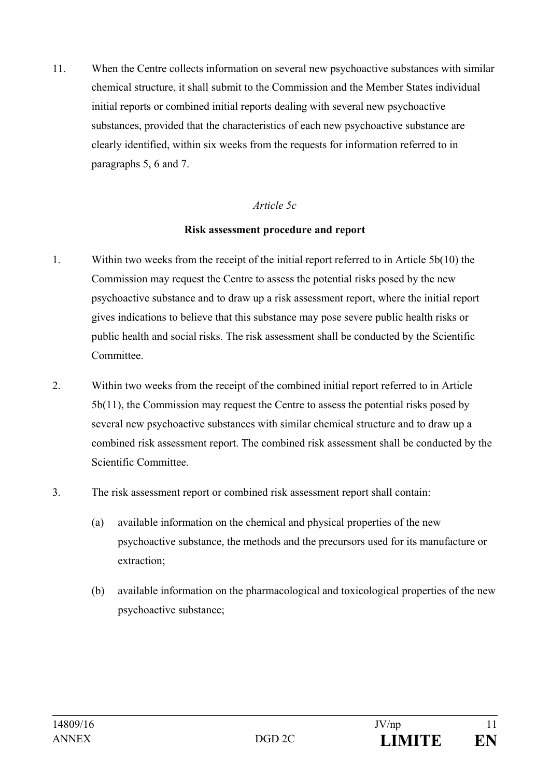11. When the Centre collects information on several new psychoactive substances with similar chemical structure, it shall submit to the Commission and the Member States individual initial reports or combined initial reports dealing with several new psychoactive substances, provided that the characteristics of each new psychoactive substance are clearly identified, within six weeks from the requests for information referred to in paragraphs 5, 6 and 7.

## *Article 5c*

#### **Risk assessment procedure and report**

- 1. Within two weeks from the receipt of the initial report referred to in Article 5b(10) the Commission may request the Centre to assess the potential risks posed by the new psychoactive substance and to draw up a risk assessment report, where the initial report gives indications to believe that this substance may pose severe public health risks or public health and social risks. The risk assessment shall be conducted by the Scientific Committee.
- 2. Within two weeks from the receipt of the combined initial report referred to in Article 5b(11), the Commission may request the Centre to assess the potential risks posed by several new psychoactive substances with similar chemical structure and to draw up a combined risk assessment report. The combined risk assessment shall be conducted by the Scientific Committee.
- 3. The risk assessment report or combined risk assessment report shall contain:
	- (a) available information on the chemical and physical properties of the new psychoactive substance, the methods and the precursors used for its manufacture or extraction;
	- (b) available information on the pharmacological and toxicological properties of the new psychoactive substance;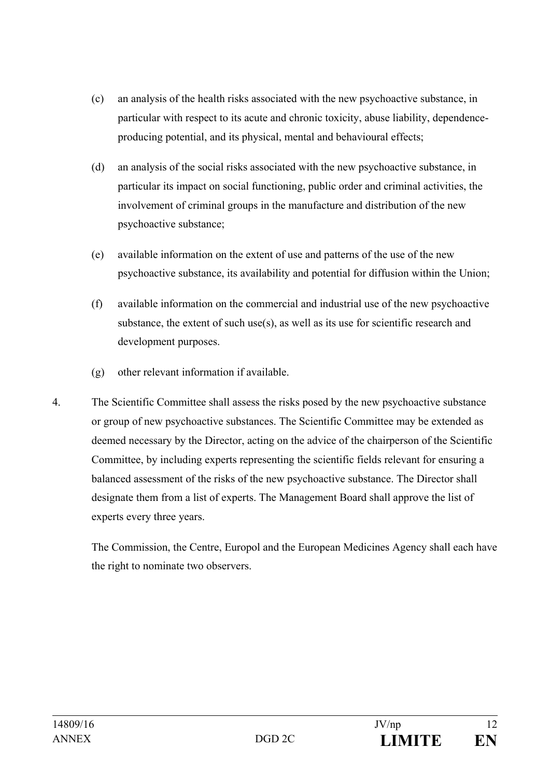- (c) an analysis of the health risks associated with the new psychoactive substance, in particular with respect to its acute and chronic toxicity, abuse liability, dependenceproducing potential, and its physical, mental and behavioural effects;
- (d) an analysis of the social risks associated with the new psychoactive substance, in particular its impact on social functioning, public order and criminal activities, the involvement of criminal groups in the manufacture and distribution of the new psychoactive substance;
- (e) available information on the extent of use and patterns of the use of the new psychoactive substance, its availability and potential for diffusion within the Union;
- (f) available information on the commercial and industrial use of the new psychoactive substance, the extent of such use $(s)$ , as well as its use for scientific research and development purposes.
- (g) other relevant information if available.
- 4. The Scientific Committee shall assess the risks posed by the new psychoactive substance or group of new psychoactive substances. The Scientific Committee may be extended as deemed necessary by the Director, acting on the advice of the chairperson of the Scientific Committee, by including experts representing the scientific fields relevant for ensuring a balanced assessment of the risks of the new psychoactive substance. The Director shall designate them from a list of experts. The Management Board shall approve the list of experts every three years.

The Commission, the Centre, Europol and the European Medicines Agency shall each have the right to nominate two observers.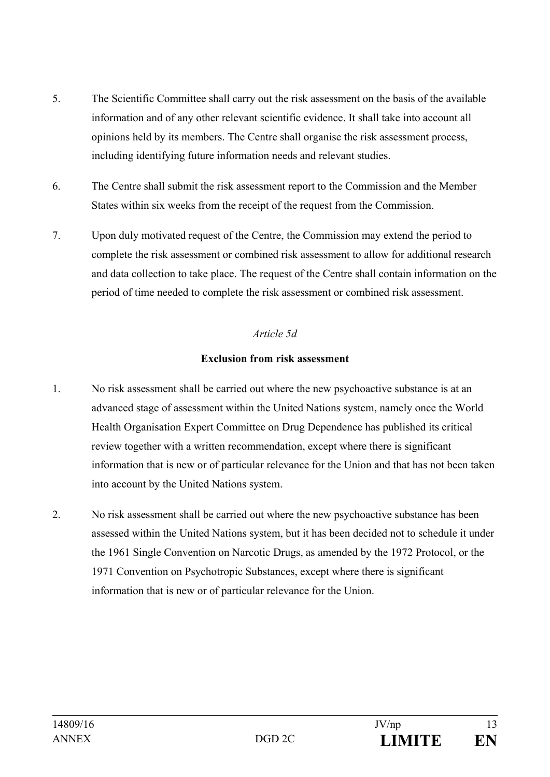- 5. The Scientific Committee shall carry out the risk assessment on the basis of the available information and of any other relevant scientific evidence. It shall take into account all opinions held by its members. The Centre shall organise the risk assessment process, including identifying future information needs and relevant studies.
- 6. The Centre shall submit the risk assessment report to the Commission and the Member States within six weeks from the receipt of the request from the Commission.
- 7. Upon duly motivated request of the Centre, the Commission may extend the period to complete the risk assessment or combined risk assessment to allow for additional research and data collection to take place. The request of the Centre shall contain information on the period of time needed to complete the risk assessment or combined risk assessment.

# *Article 5d*

## **Exclusion from risk assessment**

- 1. No risk assessment shall be carried out where the new psychoactive substance is at an advanced stage of assessment within the United Nations system, namely once the World Health Organisation Expert Committee on Drug Dependence has published its critical review together with a written recommendation, except where there is significant information that is new or of particular relevance for the Union and that has not been taken into account by the United Nations system.
- 2. No risk assessment shall be carried out where the new psychoactive substance has been assessed within the United Nations system, but it has been decided not to schedule it under the 1961 Single Convention on Narcotic Drugs, as amended by the 1972 Protocol, or the 1971 Convention on Psychotropic Substances, except where there is significant information that is new or of particular relevance for the Union.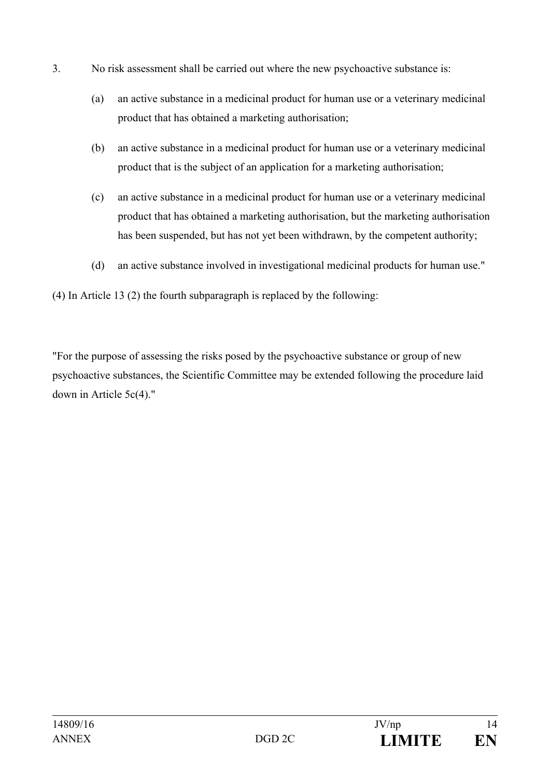- 3. No risk assessment shall be carried out where the new psychoactive substance is:
	- (a) an active substance in a medicinal product for human use or a veterinary medicinal product that has obtained a marketing authorisation;
	- (b) an active substance in a medicinal product for human use or a veterinary medicinal product that is the subject of an application for a marketing authorisation;
	- (c) an active substance in a medicinal product for human use or a veterinary medicinal product that has obtained a marketing authorisation, but the marketing authorisation has been suspended, but has not yet been withdrawn, by the competent authority;
	- (d) an active substance involved in investigational medicinal products for human use."

(4) In Article 13 (2) the fourth subparagraph is replaced by the following:

"For the purpose of assessing the risks posed by the psychoactive substance or group of new psychoactive substances, the Scientific Committee may be extended following the procedure laid down in Article 5c(4)."